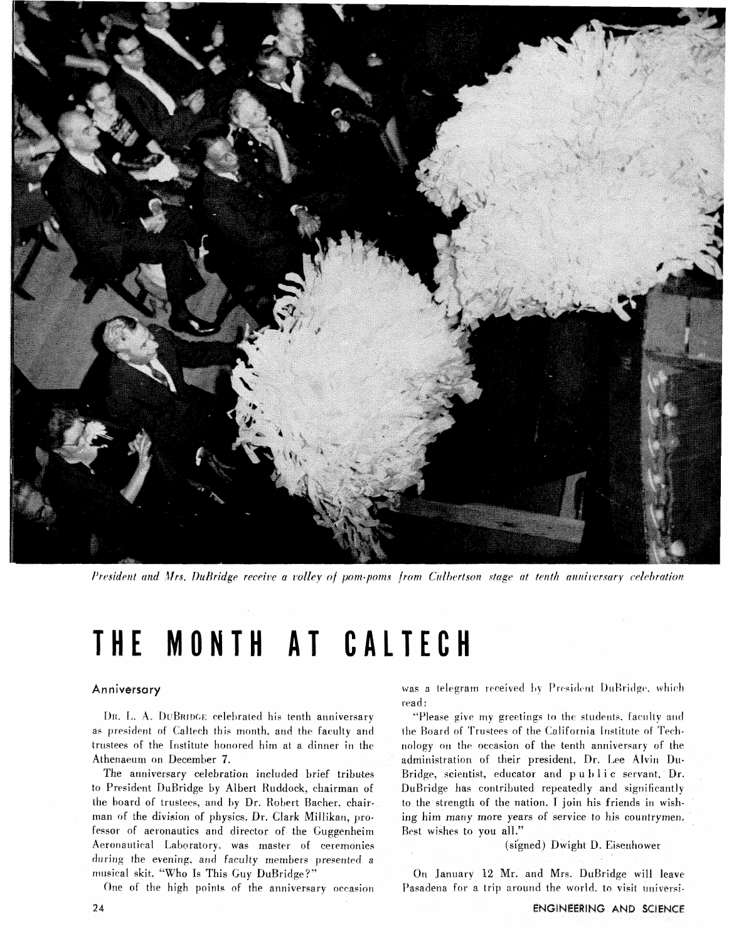

President and Mrs. DuBridge receive a volley of pom-poms from Culbertson stage at tenth anniversary celebration

# THE MONTH AT CALTECH

## Anniversary

DR. L. A. DUBRIDGE celebrated his tenth anniversary as president of Caltech this month, and the faculty and trustees of the Institute honored him at a dinner in the Athenaeum on December 7.

The anniversary celebration included brief tributes to President DuBridge by Albert Ruddock, chairman of the board of trustees, and by Dr. Robert Bacher. chairman of the division of physics. Dr. Clark Millikan, professor of aeronautics and director of the Guggenheim Aeronautical Laboratory. was master of ceremonies during the evening, and faculty members presented a musical skit. "Who Is This Guy DuBridge?"

One of the high points of the anniversary occasion

was a telegram received by President DuBridge, which read:

'Please give my greetings to the students. faculty and the Board of Trustees of the California Institute of Technology on the occasion of the tenth anniversary of the administration of their president. Dr. Lee Alvin Du-Bridge, scientist, educator and **p** u *1)* 1 i c servant. Dr. DuBridge has contributed repeatedly and significantly to the strength of the nation. I join his friends in wishing him many more years of service to his countrymen, Best wishes to you all."

(signed) Dwight D. Eisenhower

On January 12 Mr. and Mrs. DuBridge will leave Pasadena for a trip around the world, to visit universi-

24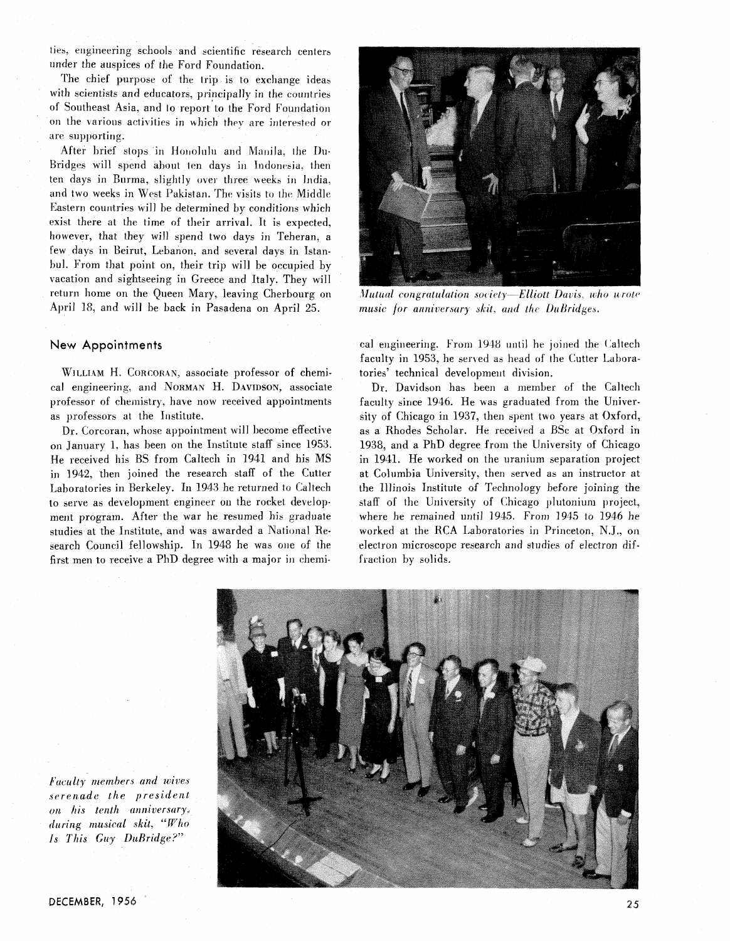ties, engineering schools and scientific research centers under the auspices of the Ford Foundation.

The chief purpose of the trip is to exchange ideas with scientists and educators, principally in the countries of Southeast Asia, and to report to the Ford Foundation on the various activities in which they are interested or are supporting:

After brief stops in Honolulu and Manila, the Du-Bridges will spend about ten days in Indonesia, then ten days in Burma, slightly over three weeks in India. and two weeks in West Pakistan. The visits to the Middle Eastern countries will be determined by conditions which exist there at the time of their arrival. It is expected, however, that they will spend two days in Teheran, a few days in Beirut, Lebanon, and several days in Istanbul. From that point on, their trip will be occupied by vacation and sightseeing in Greece and Italy. They will return home on the Queen Mary, leaving Cherbourg on April 18, and will be back in Pasadena on April 25.

## New Appointments

WILLIAM H. CORCORAN, associate professor of chemical engineering, and NORMAN H. DAVIDSON, associate professor of chemistry, have now received appointments as professors at the Institute.

Dr. Corcoran, whose appointment will become effective on January 1, has been on the Institute staff since 1953. He received his BS from Caltech in 1941 and his MS in 1942, then joined the research staff of the Cutter Laboratories in Berkeley. In 1943 he returned to Caltech to serve as development engineer on the rocket development program. After the war he resumed his graduate studies at the Institute, and was awarded a National Research Council fellowship. In 1948 he was one of the first men to receive a PhD degree with a major in chemi-



Mutual congratulation society—Elliott Davis, who wrote music for anniversary skit, and the DuBridges.

cal engineering. From 1948 until he joined the Caltech faculty in 1953, he served as head of the Cutter Laboratories' technical development division.

Dr. Davidson has been a member of the Caltech faculty since 1946. He was graduated from the University of Chicago in 1937, then spent two years at Oxford, as a Rhodes Scholar. He received a BSc at Oxford in 1938. and a PhD degree from the University of Chicago in 1941. He worked on the uranium separation project at Columbia University, then served as an instructor at the Illinois Institute of Technology before joining the staff of the University of Chicago plutonium project, where he remained until 1945. From 1945 to 1946 he worked at the RCA Laboratories in Princeton, N.J., on electron microscope research and studies of electron diffraction by solids.



Faculty members and wives serenade the president on his tenth anniversary, during musical skit, "Who Is This Guy DuBridge?"